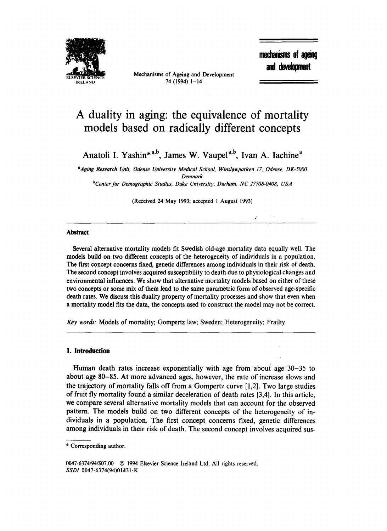

Mechanisms of Ageing and Development 74 (1994) 1-14

mechanisms of ageing and development

# **A duality in aging: the equivalence of mortality models based on radically different concepts**

Anatoli I. Yashin\*a,<sup>b</sup>, James W. Vaupel<sup>a,b</sup>, Ivan A. Iachine<sup>a</sup>

<sup>a</sup>Aging Research Unit, Odense University Medical School, Winsløwparken 17, Odense, DK-5000 *Denmark* 

*bCenter for Demographic Studies, Duke University, Durham, NC 27708-0408, USA* 

(Received 24 May 1993; accepted 1 August 1993)

# **Abstract**

Several alternative mortality models fit Swedish old-age mortality data equally well. The models build on two different concepts of the heterogeneity of individuals in a population. The first concept concerns fixed, genetic differences among individuals in their risk of death. The second concept involves acquired susceptibility to death due to physiological changes and environmental influences. We show that alternative mortality models based on either of these two concepts or some mix of them lead to the same parametric form of observed age-specific death rates. We discuss this duality property of mortality processes and show that even when a mortality model fits the data, the concepts used to construct the model may not be correct.

*Key words."* Models of mortality; Gompertz law; Sweden; Heterogeneity; Frailty

## **1. Introduction**

Human death rates increase exponentially with age from about age 30-35 to about age 80-85. At more advanced ages, however, the rate of increase slows and the trajectory of mortality falls off from a Gompertz curve [1,2]. Two large studies of fruit fly mortality found a similar deceleration of death rates [3,4]. In this article, we compare several alternative mortality models that can account for the observed pattern. The models build on two different concepts of the heterogeneity of individuals in a population. The first concept concerns fixed, genetic differences among individuals in their risk of death. The second concept involves acquired sus-

0047-6374/94/\$07.00 @ 1994 Elsevier Science Ireland Ltd. All rights reserved. *SSDI* 0047-6374(94)0143 I-K

<sup>\*</sup> Corresponding author.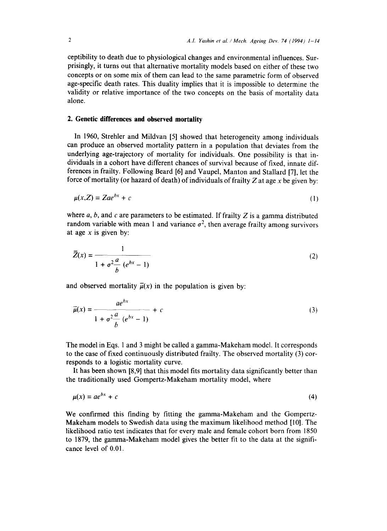ceptibility to death due to physiological changes and environmental influences. Surprisingly, it turns out that alternative mortality models based on either of these two concepts or on some mix of them can lead to the same parametric form of observed age-specific death rates. This duality implies that it is impossible to determine the validity or relative importance of the two concepts on the basis of mortality data alone.

# **2. Genetic differences and observed mortality**

In 1960, Strehler and Mildvan [5] showed that heterogeneity among individuals can produce an observed mortality pattern in a population that deviates from the underlying age-trajectory of mortality for individuals. One possibility is that individuals in a cohort have different chances of survival because of fixed, innate differences in frailty. Following Beard [6] and Vaupel, Manton and Stallard [7], let the force of mortality (or hazard of death) of individuals of frailty Z at age x be given by:

$$
\mu(x,Z) = Zae^{bx} + c \tag{1}
$$

where a, b, and c are parameters to be estimated. If frailty Z is a gamma distributed random variable with mean 1 and variance  $\sigma^2$ , then average frailty among survivors at age  $x$  is given by:

$$
\bar{Z}(x) = \frac{1}{1 + \sigma^2 \frac{a}{b} (e^{bx} - 1)}
$$
 (2)

and observed mortality  $\overline{\mu}(x)$  in the population is given by:

$$
\overrightarrow{\mu}(x) = \frac{ae^{bx}}{1 + \sigma^2 \frac{a}{b} (e^{bx} - 1)} + c
$$
\n(3)

The model in Eqs. 1 and 3 might be called a gamma-Makeham model. It corresponds to the case of fixed continuously distributed frailty. The observed mortality (3) corresponds to a logistic mortality curve.

It has been shown [8,9] that this model fits mortality data significantly better than the traditionally used Gompertz-Makeham mortality model, where

$$
\mu(x) = ae^{bx} + c \tag{4}
$$

We confirmed this finding by fitting the gamma-Makeham and the Gompertz-Makeham models to Swedish data using the maximum likelihood method [10]. The likelihood ratio test indicates that for every male and female cohort born from 1850 to 1879, the gamma-Makeham model gives the better fit to the data at the significance level of 0.01.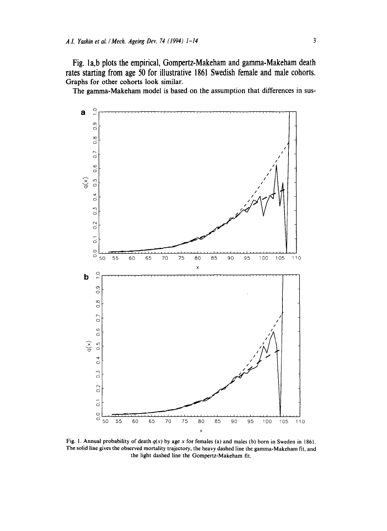**Fig. la,b plots the empirical, Gompertz-Makeham and gamma-Makeham death rates starting from age 50 for illustrative 1861 Swedish female and male cohorts. Graphs for other cohorts look similar.** 

**The gamma-Makeham model is based on the assumption that differences in sus-**



**Fig. I. Annual probability of death** *q(x)* **by age x for females (a) and males (b) born in Sweden in 1861. The solid line gives the observed mortality trajectory, the heavy dashed line the gamma-Makeham fit, and the light dashed line the Gompertz-Makeham fit.**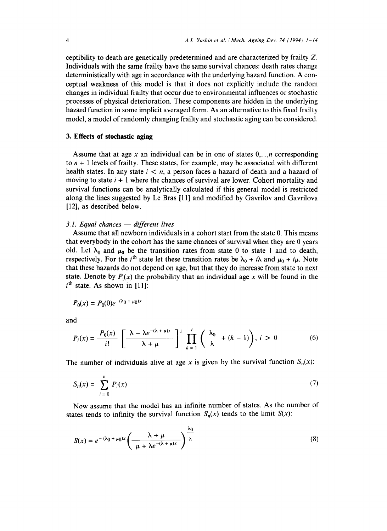ceptibility to death are genetically predetermined and are characterized by frailty Z. Individuals with the same frailty have the same survival chances: death rates change deterministically with age in accordance with the underlying hazard function. A conceptual weakness of this model is that it does not explicitly include the random changes in individual frailty that occur due to environmental influences or stochastic processes of physical deterioration. These components are hidden in the underlying hazard function in some implicit averaged form. As an alternative to this fixed frailty model, a model of randomly changing frailty and stochastic aging can be considered.

## **3. Effects of stochastic aging**

Assume that at age x an individual can be in one of states  $0, \ldots, n$  corresponding to  $n + 1$  levels of frailty. These states, for example, may be associated with different health states. In any state  $i < n$ , a person faces a hazard of death and a hazard of moving to state  $i + 1$  where the chances of survival are lower. Cohort mortality and survival functions can be analytically calculated if this general model is restricted along the lines suggested by Le Bras [11] and modified by Gavrilov and Gavrilova [12], as described below.

#### *3.1. Equal chances — different lives*

Assume that all newborn individuals in a cohort start from the state 0. This means that everybody in the cohort has the same chances of survival when they are 0 years old. Let  $\lambda_0$  and  $\mu_0$  be the transition rates from state 0 to state 1 and to death, respectively. For the *i*<sup>th</sup> state let these transition rates be  $\lambda_0 + i\lambda$  and  $\mu_0 + i\mu$ . Note that these hazards do not depend on age, but that they do increase from state to next state. Denote by  $P_i(x)$  the probability that an individual age x will be found in the  $i<sup>th</sup>$  state. As shown in [11]:

$$
P_0(x) = P_0(0)e^{-(\lambda_0 + \mu_0)x}
$$

and

$$
P_i(x) = \frac{P_0(x)}{i!} \left[ \frac{\lambda - \lambda e^{-(\lambda + \mu)x}}{\lambda + \mu} \right]^i \prod_{k=1}^i \left( \frac{\lambda_0}{\lambda} + (k-1) \right), i > 0 \tag{6}
$$

The number of individuals alive at age x is given by the survival function  $S_n(x)$ :

$$
S_n(x) = \sum_{i=0}^{n} P_i(x)
$$
 (7)

Now assume that the model has an infinite number of states. As the number of states tends to infinity the survival function  $S_n(x)$  tends to the limit  $S(x)$ :

$$
S(x) = e^{-(\lambda_0 + \mu_0)x} \left( \frac{\lambda + \mu}{\mu + \lambda e^{-(\lambda + \mu)x}} \right)^{\lambda_0} \tag{8}
$$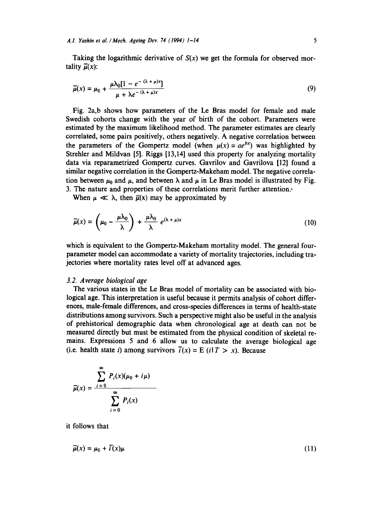Taking the logarithmic derivative of  $S(x)$  we get the formula for observed mortality  $\overline{\mu}(x)$ :

$$
\overline{\mu}(x) = \mu_0 + \frac{\mu \lambda_0 [1 - e^{-(\lambda + \mu)x}]}{\mu + \lambda e^{-(\lambda + \mu)x}}
$$
\n(9)

Fig. 2a,b shows how parameters of the Le Bras model for female and male Swedish cohorts change with the year of birth of the cohort. Parameters were estimated by the maximum likelihood method. The parameter estimates are clearly correlated, some pairs positively, others negatively. A negative correlation between the parameters of the Gompertz model (when  $\mu(x) = ae^{bx}$ ) was highlighted by Strehler and Mildvan [5]. Riggs [13,14] used this property for analyzing mortality data via reparametrized Gompertz curves. Gavrilov and Gavrilova [12] found a similar negative correlation in the Gompertz-Makeham model. The negative correlation between  $\mu_0$  and  $\mu$ , and between  $\lambda$  and  $\mu$  in Le Bras model is illustrated by Fig. 3. The nature and properties of these correlations merit further attention.,

When  $\mu \ll \lambda$ , then  $\bar{\mu}(x)$  may be approximated by

$$
\overline{\mu}(x) = \left(\mu_0 - \frac{\mu \lambda_0}{\lambda}\right) + \frac{\mu \lambda_0}{\lambda} e^{(\lambda + \mu)x}
$$
 (10)

which is equivalent to the Gompertz-Makeham mortality model. The general fourparameter model can accommodate a variety of mortality trajectories, including trajectories where mortality rates level off at advanced ages.

## *3.2. Average biological age*

The various states in the Le Bras model of mortality can be associated with biological age. This interpretation is useful because it permits analysis of cohort differences, male-female differences, and cross-species differences in terms of health-state distributions among survivors. Such a perspective might also be useful in the analysis of prehistorical demographic data when chronological age at death can not be measured directly but must be estimated from the physical condition of skeletal remains. Expressions 5 and 6 allow us to calculate the average biological age (i.e. health state *i*) among survivors  $\overline{i}(x) = E$  (*i*  $T > x$ ). Because

$$
\overline{\mu}(x) = \frac{\sum_{i=0}^{\infty} P_i(x)(\mu_0 + i\mu)}{\sum_{i=0}^{\infty} P_i(x)}
$$

it follows that

$$
\overline{\mu}(x) = \mu_0 + \overline{i}(x)\mu \tag{11}
$$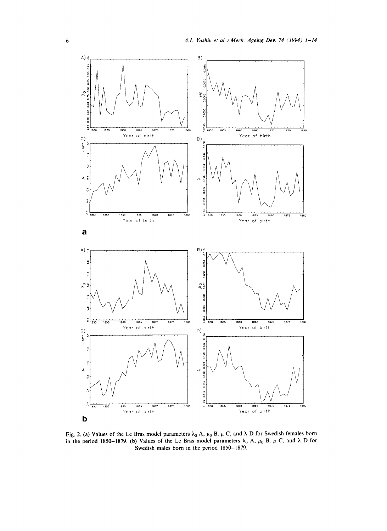

Fig. 2. (a) Values of the Le Bras model parameters  $\lambda_0$  A,  $\mu_0$  B,  $\mu$  C, and  $\lambda$  D for Swedish females born in the period 1850-1879. (b) Values of the Le Bras model parameters  $\lambda_0$  A,  $\mu_0$  B,  $\mu$  C, and  $\lambda$  D for **Swedish males born in the period 1850-1879.**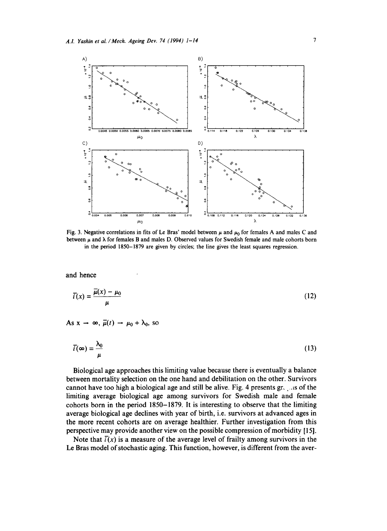

Fig. 3. Negative correlations in fits of Le Bras' model between  $\mu$  and  $\mu_0$  for females A and males C and between  $\mu$  and  $\lambda$  for females B and males D. Observed values for Swedish female and male cohorts born in the period 1850-1879 are given by circles; the line gives the least squares regression.

and hence

$$
\overline{i}(x) = \frac{\overline{\mu}(x) - \mu_0}{\mu} \tag{12}
$$

As  $x \to \infty$ ,  $\overline{\mu}(t) \to \mu_0 + \lambda_0$ , so

$$
\bar{i}(\infty) = \frac{\lambda_0}{\mu} \tag{13}
$$

Biological age approaches this limiting value because there is eventually a balance between mortality selection on the one hand and debilitation on the other. Survivors cannot have too high a biological age and still be alive. Fig. 4 presents gr, ..is of the limiting average biological age among survivors for Swedish male and female cohorts born in the period 1850-1879. It is interesting to observe that the limiting average biological age declines with year of birth, i.e. survivors at advanced ages in the more recent cohorts are on average healthier. Further investigation from this perspective may provide another view on the possible compression of morbidity [15].

Note that  $\overline{i}(x)$  is a measure of the average level of frailty among survivors in the Le Bras model of stochastic aging. This function, however, is different from the aver-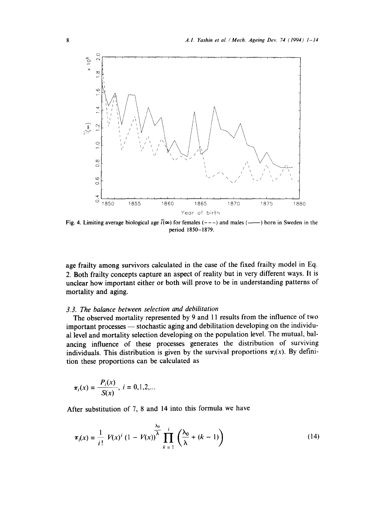

Fig. 4. Limiting average biological age  $\bar{i}(\infty)$  for females (---) and males (--) born in Sweden in the period 1850-1879.

age frailty among survivors calculated in the case of the fixed frailty model in Eq. 2. Both frailty concepts capture an aspect of reality but in very different ways. It is unclear how important either or both will prove to be in understanding patterns of mortality and aging.

#### *3.3. The balance between selection and debilitation*

The observed mortality represented by 9 and 11 results from the influence of two important processes — stochastic aging and debilitation developing on the individual level and mortality selection developing on the population level. The mutual, balancing influence of these processes generates the distribution of surviving individuals. This distribution is given by the survival proportions  $\pi_i(x)$ . By definition these proportions can be calculated as

$$
\pi_i(x) = \frac{P_i(x)}{S(x)}, \ i = 0, 1, 2, \dots
$$

After substitution of 7, 8 and 14 into this formula we have

$$
\pi_i(x) = \frac{1}{i!} V(x)^i (1 - V(x))^{\lambda} \prod_{k=1}^{\lambda_0} \left( \frac{\lambda_0}{\lambda} + (k-1) \right)
$$
 (14)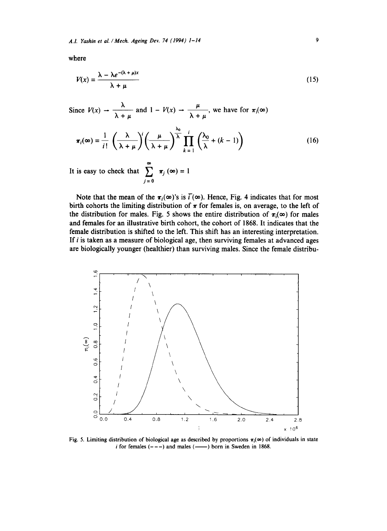**where** 

$$
V(x) = \frac{\lambda - \lambda e^{-(\lambda + \mu)x}}{\lambda + \mu}
$$
 (15)

Since  $V(x) \rightarrow \frac{\lambda}{\lambda + \mu}$  and  $1 - V(x) \rightarrow \frac{\mu}{\lambda + \mu}$ , we have for  $\pi_1(\infty)$ xo  $\pi_i(\infty) = \frac{1}{\sqrt{2}} \left( \frac{1}{\sqrt{2}} \right) \left( \frac{1}{\sqrt{2}} \right) \left( \frac{1}{\sqrt{2}} + (k-1) \right)$ *k=l*  **(16)** 

It is easy to check that  $\sum \pi_i(\infty) = 1$  $j=0$ 

Note that the mean of the  $\pi_i(\infty)$ 's is  $\overline{i}(\infty)$ . Hence, Fig. 4 indicates that for most birth cohorts the limiting distribution of  $\pi$  for females is, on average, to the left of the distribution for males. Fig. 5 shows the entire distribution of  $\pi_i(\infty)$  for males **and females for an illustrative birth cohort, the cohort of 1868. It indicates that the female distribution is shifted to the left. This shift has an interesting interpretation. If i is taken as a measure of biological age, then surviving females at advanced ages are biologically younger (healthier) than surviving males. Since the female distribu-** 



**Fig. 5. Limiting distribution of biological age as described by proportions**  $\pi_i(\infty)$  **of individuals in state**  $i$  for females  $(- - -)$  and males  $($ —— $)$  born in Sweden in 1868.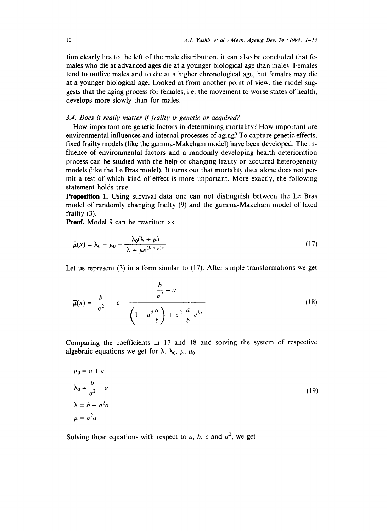tion clearly lies to the left of the male distribution, it can also be concluded that females who die at advanced ages die at a younger biological age than males. Females tend to outlive males and to die at a higher chronological age, but females may die at a younger biological age. Looked at from another point of view, the model suggests that the aging process for females, i.e. the movement to worse states of health, develops more slowly than for males.

# *3.4. Does it really matter if frailty is genetic or acquired?*

How important are genetic factors in determining mortality? How important are environmental influences and internal processes of aging? To capture genetic effects, fixed frailty models (like the gamma-Makeham model) have been developed. The influence of environmental factors and a randomly developing health deterioration process can be studied with the help of changing frailty or acquired heterogeneity models (like the Le Bras model). It turns out that mortality data alone does not permit a test of which kind of effect is more important. More exactly, the following statement holds true:

**Proposition** 1. Using survival data one can not distinguish between the Le Bras model of randomly changing frailty (9) and the gamma-Makeham model of fixed frailty (3).

Proof. Model 9 can be rewritten as

$$
\overline{\mu}(x) = \lambda_0 + \mu_0 - \frac{\lambda_0(\lambda + \mu)}{\lambda + \mu e^{(\lambda + \mu)x}}
$$
\n(17)

Let us represent (3) in a form similar to (17). After simple transformations we get

$$
\overline{\mu}(x) = \frac{b}{\sigma^2} + c - \frac{\frac{b}{\sigma^2} - a}{\left(1 - \sigma^2 \frac{a}{b}\right) + \sigma^2 \frac{a}{b} e^{bx}}
$$
(18)

Comparing the coefficients in 17 and 18 and solving the system of respective algebraic equations we get for  $\lambda$ ,  $\lambda_0$ ,  $\mu$ ,  $\mu_0$ :

$$
\mu_0 = a + c
$$
  
\n
$$
\lambda_0 = \frac{b}{\sigma^2} - a
$$
  
\n
$$
\lambda = b - \sigma^2 a
$$
  
\n
$$
\mu = \sigma^2 a
$$
\n(19)

Solving these equations with respect to a, b, c and  $\sigma^2$ , we get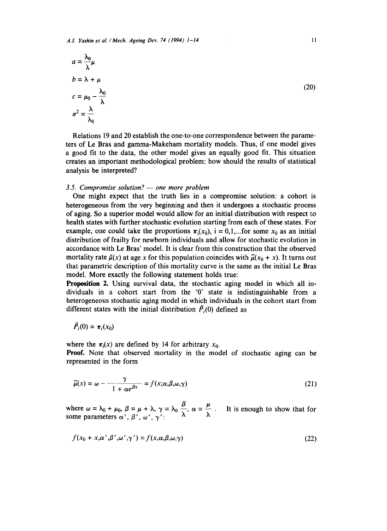$$
a = \frac{\lambda_0}{\lambda} \mu
$$
  
\n
$$
b = \lambda + \mu
$$
  
\n
$$
c = \mu_0 - \frac{\lambda_0}{\lambda}
$$
  
\n
$$
\sigma^2 = \frac{\lambda}{\lambda_0}
$$

Relations 19 and 20 establish the one-to-one correspondence between the parameters of Le Bras and gamma-Makeham mortality models. Thus, if one model gives a good fit to the data, the other model gives an equally good fit. This situation creates an important methodological problem: how should the results of statistical analysis be interpreted?

#### 3.5. Compromise solution? — one more problem

One might expect that the truth lies in a compromise solution: a cohort is heterogeneous from the very beginning and then it undergoes a stochastic process of aging. So a superior model would allow for an initial distribution with respect to health states with further stochastic evolution starting from each of these states. For example, one could take the proportions  $\pi_i(x_0)$ , i = 0,1,... for some  $x_0$  as an initial distribution of frailty for newborn individuals and allow for stochastic evolution in accordance with Le Bras' model. It is clear from this construction that the observed mortality rate  $\tilde{\mu}(x)$  at age x for this population coincides with  $\bar{\mu}(x_0 + x)$ . It turns out that parametric description of this mortality curve is the same as the initial Le Bras model. More exactly the following statement holds true:

**Proposition 2.** Using survival data, the stochastic aging model in which all individuals in a cohort start from the '0' state is indistinguishable from a heterogeneous stochastic aging model in which individuals in the cohort start from different states with the initial distribution  $\tilde{P}_i(0)$  defined as

$$
\ddot{P}_i(0) = \pi_i(x_0)
$$

where the  $\pi_i(x)$  are defined by 14 for arbitrary  $x_0$ .

**Proof.** Note that observed mortality in the model of stochastic aging can be represented in the form

$$
\overline{\mu}(x) = \omega - \frac{\gamma}{1 + \alpha e^{\beta x}} = f(x; \alpha, \beta, \omega, \gamma)
$$
\n(21)

where  $\omega = \lambda_0 + \mu_0$ ,  $\beta = \mu + \lambda$ ,  $\gamma = \lambda_0 \frac{\mu}{\lambda}$ ,  $\alpha = \frac{\mu}{\lambda}$ . It is enough to show that for some parameters  $\alpha'$ ,  $\beta'$ ,  $\omega'$ ,  $\gamma'$ :

$$
f(x_0 + x, \alpha', \beta', \omega', \gamma') = f(x, \alpha, \beta, \omega, \gamma)
$$
\n(22)

(20)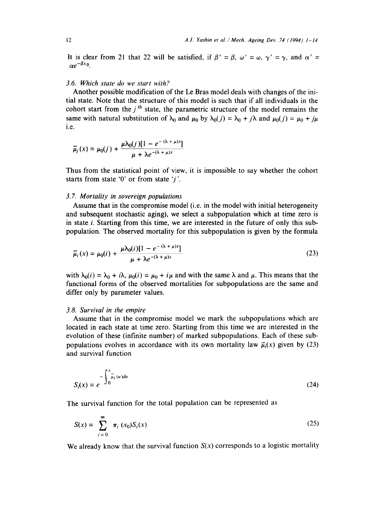It is clear from 21 that 22 will be satisfied, if  $\beta' = \beta$ ,  $\omega' = \omega$ ,  $\gamma' = \gamma$ , and  $\alpha' =$  $\alpha e^{-\beta x}$ <sup>0</sup>.

#### *3.6. Which state do we start with?*

Another possible modification of the Le Bras model deals with changes of the initial state. Note that the structure of this model is such that if all individuals in the cohort start from the  $j<sup>th</sup>$  state, the parametric structure of the model remains the same with natural substitution of  $\lambda_0$  and  $\mu_0$  by  $\lambda_0(i) = \lambda_0 + i\lambda$  and  $\mu_0(i) = \mu_0 + i\mu$ i.e.

$$
\bar{\mu}_j(x) = \mu_0(j) + \frac{\mu \lambda_0(j) [1 - e^{-(\lambda + \mu)x}]}{\mu + \lambda e^{-(\lambda + \mu)x}}
$$

Thus from the statistical point of view, it is impossible to say whether the cohort starts from state '0' or from state ' $j$ '.

#### *3.7. Mortality in sovereign populations*

Assume that in the compromise model (i.e. in the model with initial heterogeneity and subsequent stochastic aging), we select a subpopulation which at time zero is in state i. Starting from this time, we are interested in the future of only this subpopulation. The observed mortality for this subpopulation is given by the formula

$$
\overline{\mu}_i(x) = \mu_0(i) + \frac{\mu \lambda_0(i)[1 - e^{-(\lambda + \mu)x}]}{\mu + \lambda e^{-(\lambda + \mu)x}}
$$
\n(23)

with  $\lambda_0(i) = \lambda_0 + i\lambda$ ,  $\mu_0(i) = \mu_0 + i\mu$  and with the same  $\lambda$  and  $\mu$ . This means that the functional forms of the observed mortalities for subpopulations are the same and differ only by parameter values.

## *3.8. Survival in the empire*

 $\sim$ 

Assume that in the compromise model we mark the subpopulations which are located in each state at time zero. Starting from this time we are interested in the evolution of these (infinite number) of marked subpopulations. Each of these subpopulations evolves in accordance with its own mortality law  $\bar{\mu}_i(x)$  given by (23) and survival function

$$
S_i(x) = e^{-\int_0^x \frac{1}{\mu_i}(u)du}
$$
 (24)

The survival function for the total population can be represented as

$$
S(x) = \sum_{i=0}^{\infty} \pi_i(x_0) S_i(x)
$$
 (25)

We already know that the survival function  $S(x)$  corresponds to a logistic mortality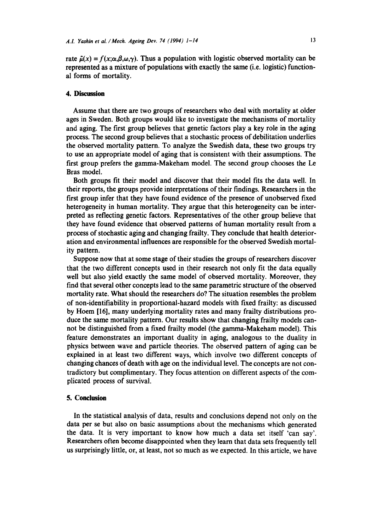rate  $\tilde{\mu}(x) = f(x; \alpha, \beta, \omega, \gamma)$ . Thus a population with logistic observed mortality can be represented as a mixture of populations with exactly the same (i.e. logistic) functional forms of mortality.

#### **4. Discussion**

Assume that there are two groups of researchers who deal with mortality at older ages in Sweden. Both groups would like to investigate the mechanisms of mortality and aging. The first group believes that genetic factors play a key role in the aging process. The second group believes that a stochastic process of debilitation underlies the observed mortality pattern. To analyze the Swedish data, these two groups try to use an appropriate model of aging that is consistent with their assumptions. The first group prefers the gamma-Makeham model. The second group chooses the Le Bras model.

Both groups fit their model and discover that their model fits the data well. In their reports, the groups provide interpretations of their findings. Researchers in the first group infer that they have found evidence of the presence of unobserved fixed heterogeneity in human mortality. They argue that this heterogeneity can be interpreted as reflecting genetic factors. Representatives of the other group believe that they have found evidence that observed patterns of human mortality result from a process of stochastic aging and changing frailty. They conclude that health deterioration and environmental influences are responsible for the observed Swedish mortality pattern.

Suppose now that at some stage of their studies the groups of researchers discover that the two different concepts used in their research not only fit the data equally well but also yield exactly the same model of observed mortality. Moreover, they find that several other concepts lead to the same parametric structure of the observed mortality rate. What should the researchers do? The situation resembles the problem of non-identifiability in proportional-hazard models with fixed frailty: as discussed by Hoem [16], many underlying mortality rates and many frailty distributions produce the same mortality pattern. Our results show that changing frailty models cannot be distinguished from a fixed frailty model (the gamma-Makeham model). This feature demonstrates an important duality in aging, analogous to the duality in physics between wave and particle theories. The observed pattern of aging can be explained in at least two different ways, which involve two different concepts of changing chances of death with age on the individual level. The concepts are not contradictory but complimentary. They focus attention on different aspects of the complicated process of survival.

# **5. Conclusion**

In the statistical analysis of data, results and conclusions depend not only on the data per se but also on basic assumptions about the mechanisms which generated the data. It is very important to know how much a data set itself 'can say'. Researchers often become disappointed when they learn that data sets frequently tell us surprisingly little, or, at least, not so much as we expected. In this article, we have